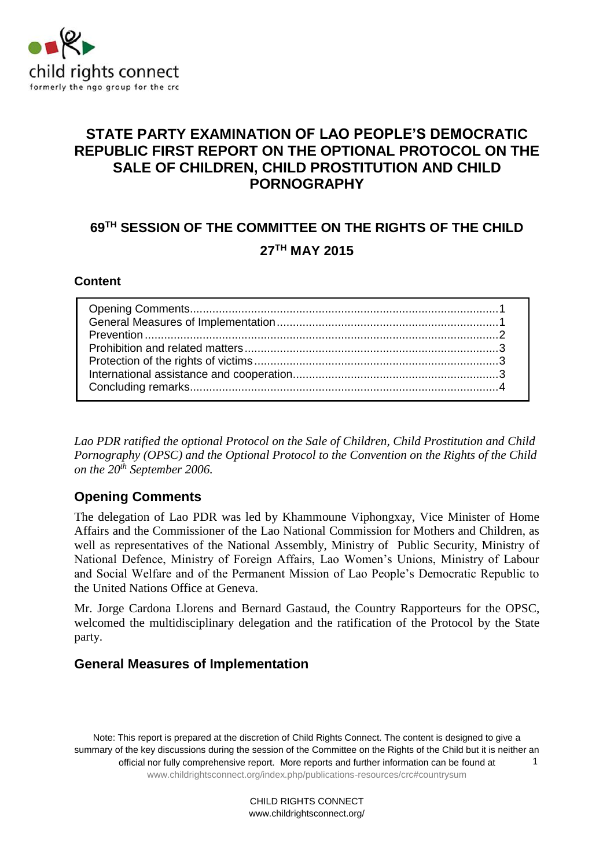

# **STATE PARTY EXAMINATION OF LAO PEOPLE'S DEMOCRATIC REPUBLIC FIRST REPORT ON THE OPTIONAL PROTOCOL ON THE SALE OF CHILDREN, CHILD PROSTITUTION AND CHILD PORNOGRAPHY**

# **69 TH SESSION OF THE COMMITTEE ON THE RIGHTS OF THE CHILD 27TH MAY 2015**

#### **Content**

*Lao PDR ratified the optional Protocol on the Sale of Children, Child Prostitution and Child Pornography (OPSC) and the Optional Protocol to the Convention on the Rights of the Child on the 20th September 2006.* 

### <span id="page-0-0"></span>**Opening Comments**

The delegation of Lao PDR was led by Khammoune Viphongxay, Vice Minister of Home Affairs and the Commissioner of the Lao National Commission for Mothers and Children, as well as representatives of the National Assembly, Ministry of Public Security, Ministry of National Defence, Ministry of Foreign Affairs, Lao Women's Unions, Ministry of Labour and Social Welfare and of the Permanent Mission of Lao People's Democratic Republic to the United Nations Office at Geneva.

Mr. Jorge Cardona Llorens and Bernard Gastaud, the Country Rapporteurs for the OPSC, welcomed the multidisciplinary delegation and the ratification of the Protocol by the State party.

### <span id="page-0-1"></span>**General Measures of Implementation**

Note: This report is prepared at the discretion of Child Rights Connect. The content is designed to give a summary of the key discussions during the session of the Committee on the Rights of the Child but it is neither an official nor fully comprehensive report. More reports and further information can be found at [www.childrightsconnect.org/index.php/publications-resources/crc#countrysum](http://www.childrightsconnect.org/index.php/publications-resources/crc#countrysum) 1

> CHILD RIGHTS CONNECT www.childrightsconnect.org/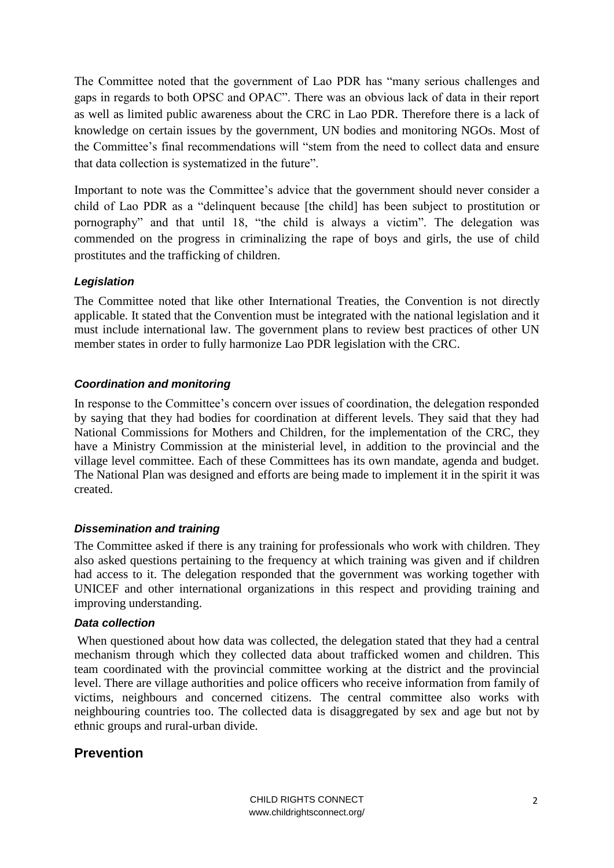The Committee noted that the government of Lao PDR has "many serious challenges and gaps in regards to both OPSC and OPAC". There was an obvious lack of data in their report as well as limited public awareness about the CRC in Lao PDR. Therefore there is a lack of knowledge on certain issues by the government, UN bodies and monitoring NGOs. Most of the Committee's final recommendations will "stem from the need to collect data and ensure that data collection is systematized in the future".

Important to note was the Committee's advice that the government should never consider a child of Lao PDR as a "delinquent because [the child] has been subject to prostitution or pornography" and that until 18, "the child is always a victim". The delegation was commended on the progress in criminalizing the rape of boys and girls, the use of child prostitutes and the trafficking of children.

#### *Legislation*

The Committee noted that like other International Treaties, the Convention is not directly applicable. It stated that the Convention must be integrated with the national legislation and it must include international law. The government plans to review best practices of other UN member states in order to fully harmonize Lao PDR legislation with the CRC.

#### *Coordination and monitoring*

In response to the Committee's concern over issues of coordination, the delegation responded by saying that they had bodies for coordination at different levels. They said that they had National Commissions for Mothers and Children, for the implementation of the CRC, they have a Ministry Commission at the ministerial level, in addition to the provincial and the village level committee. Each of these Committees has its own mandate, agenda and budget. The National Plan was designed and efforts are being made to implement it in the spirit it was created.

#### *Dissemination and training*

The Committee asked if there is any training for professionals who work with children. They also asked questions pertaining to the frequency at which training was given and if children had access to it. The delegation responded that the government was working together with UNICEF and other international organizations in this respect and providing training and improving understanding.

#### *Data collection*

When questioned about how data was collected, the delegation stated that they had a central mechanism through which they collected data about trafficked women and children. This team coordinated with the provincial committee working at the district and the provincial level. There are village authorities and police officers who receive information from family of victims, neighbours and concerned citizens. The central committee also works with neighbouring countries too. The collected data is disaggregated by sex and age but not by ethnic groups and rural-urban divide.

### <span id="page-1-0"></span>**Prevention**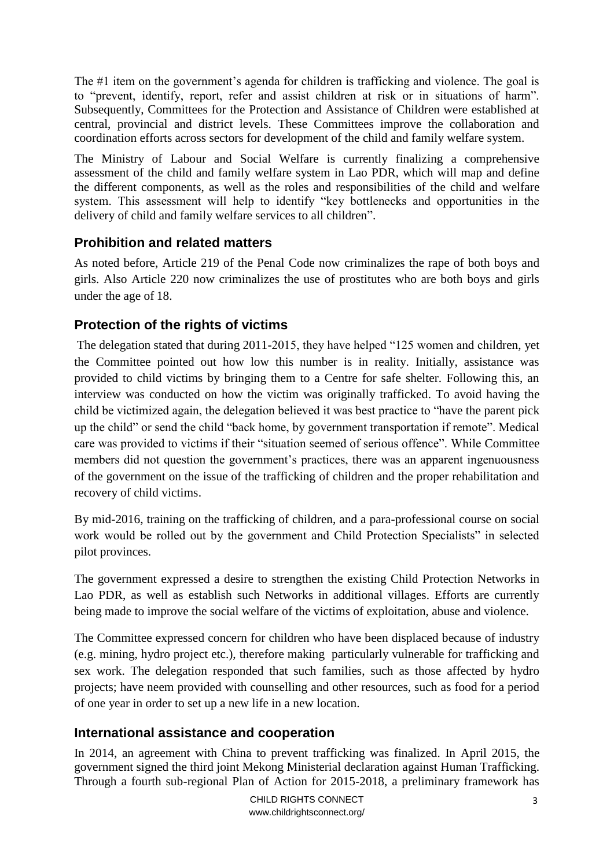The #1 item on the government's agenda for children is trafficking and violence. The goal is to "prevent, identify, report, refer and assist children at risk or in situations of harm". Subsequently, Committees for the Protection and Assistance of Children were established at central, provincial and district levels. These Committees improve the collaboration and coordination efforts across sectors for development of the child and family welfare system.

The Ministry of Labour and Social Welfare is currently finalizing a comprehensive assessment of the child and family welfare system in Lao PDR, which will map and define the different components, as well as the roles and responsibilities of the child and welfare system. This assessment will help to identify "key bottlenecks and opportunities in the delivery of child and family welfare services to all children".

# <span id="page-2-0"></span>**Prohibition and related matters**

As noted before, Article 219 of the Penal Code now criminalizes the rape of both boys and girls. Also Article 220 now criminalizes the use of prostitutes who are both boys and girls under the age of 18.

# <span id="page-2-1"></span>**Protection of the rights of victims**

The delegation stated that during 2011-2015, they have helped "125 women and children, yet the Committee pointed out how low this number is in reality. Initially, assistance was provided to child victims by bringing them to a Centre for safe shelter. Following this, an interview was conducted on how the victim was originally trafficked. To avoid having the child be victimized again, the delegation believed it was best practice to "have the parent pick up the child" or send the child "back home, by government transportation if remote". Medical care was provided to victims if their "situation seemed of serious offence". While Committee members did not question the government's practices, there was an apparent ingenuousness of the government on the issue of the trafficking of children and the proper rehabilitation and recovery of child victims.

By mid-2016, training on the trafficking of children, and a para-professional course on social work would be rolled out by the government and Child Protection Specialists" in selected pilot provinces.

The government expressed a desire to strengthen the existing Child Protection Networks in Lao PDR, as well as establish such Networks in additional villages. Efforts are currently being made to improve the social welfare of the victims of exploitation, abuse and violence.

The Committee expressed concern for children who have been displaced because of industry (e.g. mining, hydro project etc.), therefore making particularly vulnerable for trafficking and sex work. The delegation responded that such families, such as those affected by hydro projects; have neem provided with counselling and other resources, such as food for a period of one year in order to set up a new life in a new location.

### <span id="page-2-2"></span>**International assistance and cooperation**

In 2014, an agreement with China to prevent trafficking was finalized. In April 2015, the government signed the third joint Mekong Ministerial declaration against Human Trafficking. Through a fourth sub-regional Plan of Action for 2015-2018, a preliminary framework has